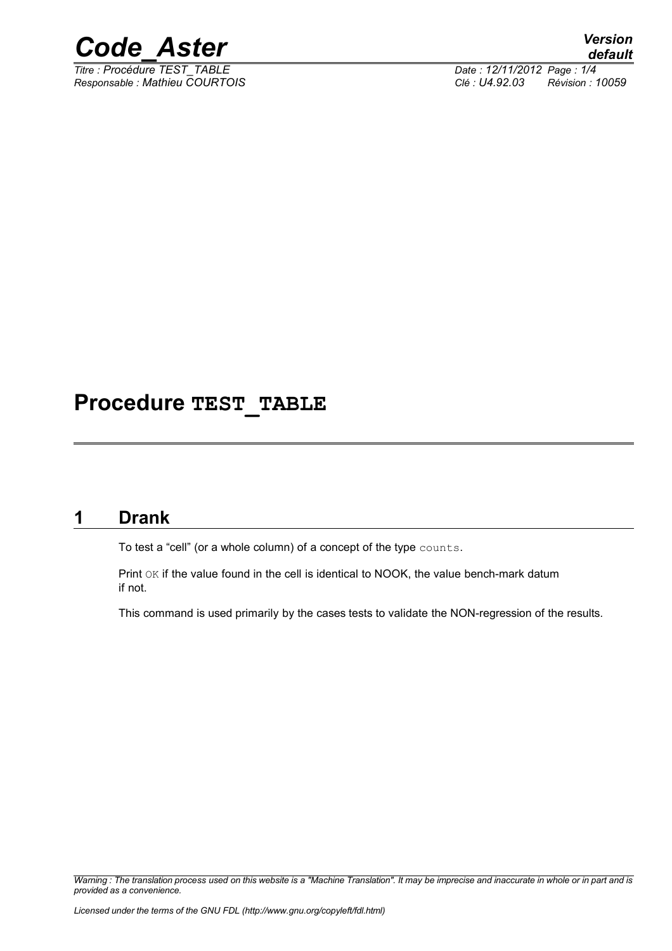

*Titre : Procédure TEST\_TABLE Date : 12/11/2012 Page : 1/4 Responsable : Mathieu COURTOIS Clé : U4.92.03 Révision : 10059*

# **Procedure TEST\_TABLE**

# **1 Drank**

To test a "cell" (or a whole column) of a concept of the type counts.

Print OK if the value found in the cell is identical to NOOK, the value bench-mark datum if not.

This command is used primarily by the cases tests to validate the NON-regression of the results.

*Warning : The translation process used on this website is a "Machine Translation". It may be imprecise and inaccurate in whole or in part and is provided as a convenience.*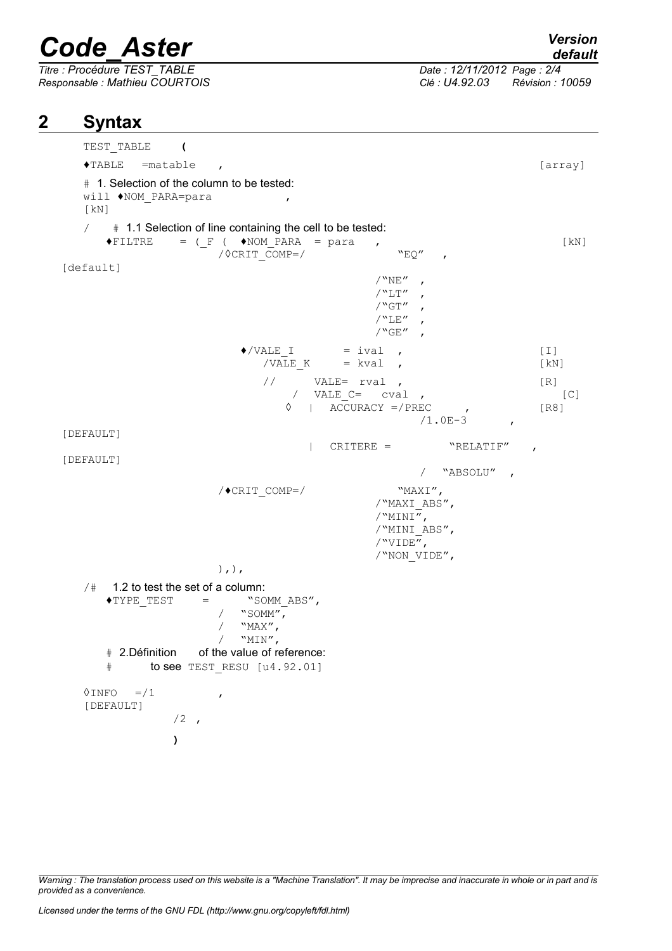# *Code\_Aster Version*

*Titre : Procédure TEST\_TABLE Date : 12/11/2012 Page : 2/4*

*default*

*Responsable : Mathieu COURTOIS Clé : U4.92.03 Révision : 10059*

### **2 Syntax**

TEST\_TABLE **(**  $\blacklozenge$ TABLE =matable ,  $[array]$ # 1. Selection of the column to be tested: will ♦NOM\_PARA=para , [kN]  $/$  # 1.1 Selection of line containing the cell to be tested:  $\begin{array}{rcl}\n\text{FILTRE} & = & \begin{bmatrix} F & (\text{ NOM} \text{ PARA} & = \text{para} \end{bmatrix} \\
 & / \Diamond \text{CRIT COMP} = & / \text{ WOMP} = & / \text{ WEMP} \\
 & / \Diamond \text{CRIT COMP} = & / \text{ WEMP} = & / \text{ WEMP} \\
 & / \Diamond \text{CRIT COMP} = & / \text{ WEMP} = & / \text{ WEMP} = & / \text{ WEMP} \\
 & / \Diamond \text{CRIT COMP} = & / \text{ WEMP} = & / \text{ WEMP} = & / \text{ WEMP} = & / \text{ WEMP} = & / \$  $\sqrt{\text{C}\text{C}\text{C}}$   $\sqrt{\text{C}\text{C}}$   $\sqrt{\text{C}\text{C}}$   $\sqrt{\text{C}\text{C}}$  ,  $\sqrt{\text{C}\text{C}}$  ,  $\sqrt{\text{C}\text{C}}$  ,  $\sqrt{\text{C}\text{C}}$  ,  $\sqrt{\text{C}\text{C}}$  ,  $\sqrt{\text{C}\text{C}}$  ,  $\sqrt{\text{C}\text{C}}$  ,  $\sqrt{\text{C}\text{C}}$  ,  $\sqrt{\text{C}\text{C}}$  ,  $\sqrt{\text{C}\text{C}}$  ,  $\sqrt{\text{C}\text{C}}$  , [default]  $/$ "NE",  $/$ "LT",  $/$ "GT",  $/$ "LE",  $/$ " $GE''$  $\sqrt[4]{\text{VALE}}_I = \text{ival}$ , [I]<br>/VALE K = kval , [kN /VALE K = kval ,  $[KN]$  $\frac{1}{\sqrt{2}}$  VALE= rval , [R] / VALE  $C=$  cval ,  $[C]$  $\sqrt{8}$  | ACCURACY =/PREC , [R8]  $/1.0E-3$ , [DEFAULT] | CRITERE = "RELATIF" , [DEFAULT] / "ABSOLU" ,  $/$   $\bullet$  CRIT COMP=/ "MAXI", /"MAXI\_ABS", /"MINI", /"MINI\_ABS",  $/$ "VIDE", /"NON\_VIDE", ),),  $/$ # 1.2 to test the set of a column:<br> $\sqrt{\text{YPE}}$  TEST = "SO  $=$  "SOMM ABS", /  $\sqrt{\text{SOMM}''}$ ,<br>/  $\sqrt{\text{MAX}''}$ , / "MAX",<br>/ "MIN", "MIN", # 2.Définition of the value of reference: # to see TEST\_RESU [u4.92.01]  $\Diamond$ INFO =/1 [DEFAULT]  $/2$ , **)**

*Warning : The translation process used on this website is a "Machine Translation". It may be imprecise and inaccurate in whole or in part and is provided as a convenience.*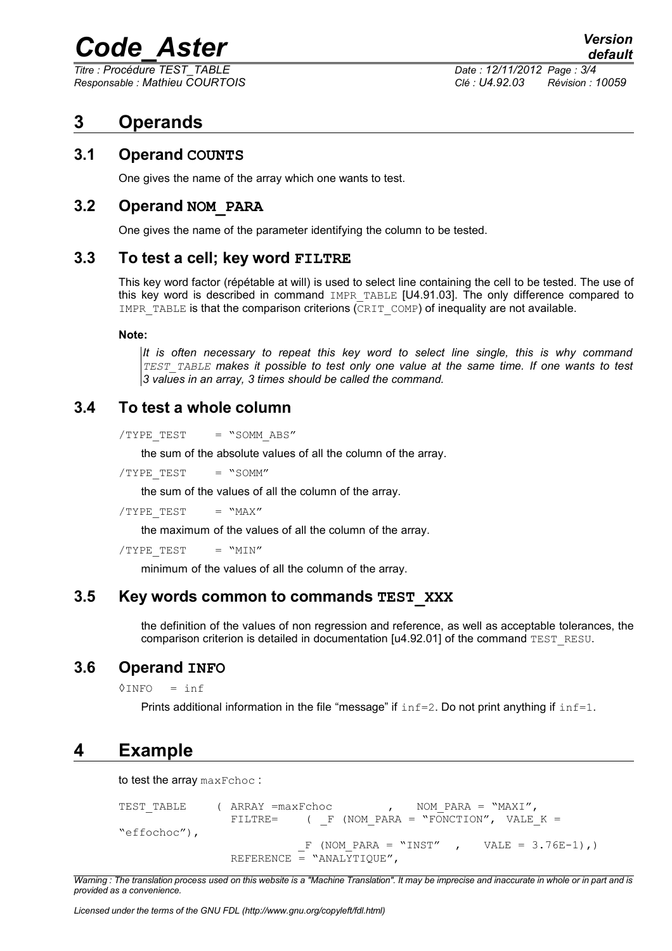# *Code\_Aster Version*

*Titre : Procédure TEST\_TABLE Date : 12/11/2012 Page : 3/4*

*Responsable : Mathieu COURTOIS Clé : U4.92.03 Révision : 10059*

# **3 Operands**

#### **3.1 Operand COUNTS**

One gives the name of the array which one wants to test.

#### **3.2 Operand NOM\_PARA**

One gives the name of the parameter identifying the column to be tested.

#### **3.3 To test a cell; key word FILTRE**

This key word factor (répétable at will) is used to select line containing the cell to be tested. The use of this key word is described in command IMPR TABLE [U4.91.03]. The only difference compared to IMPR TABLE is that the comparison criterions (CRIT COMP) of inequality are not available.

#### **Note:**

*It is often necessary to repeat this key word to select line single, this is why command TEST\_TABLE makes it possible to test only one value at the same time. If one wants to test 3 values in an array, 3 times should be called the command.*

#### **3.4 To test a whole column**

 $/$ TYPE TEST = "SOMM ABS"

the sum of the absolute values of all the column of the array.

 $/TYPE TEST$  = "SOMM"

the sum of the values of all the column of the array.

 $/TYPE TEST = "MAX"$ 

the maximum of the values of all the column of the array.

```
/TYPE TEST = "MIN"
```
minimum of the values of all the column of the array.

#### **3.5 Key words common to commands TEST\_XXX**

the definition of the values of non regression and reference, as well as acceptable tolerances, the comparison criterion is detailed in documentation [u4.92.01] of the command TEST\_RESU.

#### **3.6 Operand INFO**

 $\Diamond$ INFO = inf

Prints additional information in the file "message" if  $inf=2$ . Do not print anything if  $inf=1$ .

# **4 Example**

to test the array maxFchoc :

```
TEST TABLE ( ARRAY =maxFchoc , NOM PARA = "MAXI",
               FILTRE= ( F (NOM PARA = "FONCTION", VALE K =
"effochoc"),
                         F (NOM PARA = "INST" , VALE = 3.76E-1),)
               REFERENCE = "ANALYTIQUE",
```
*Warning : The translation process used on this website is a "Machine Translation". It may be imprecise and inaccurate in whole or in part and is provided as a convenience.*

*Licensed under the terms of the GNU FDL (http://www.gnu.org/copyleft/fdl.html)*